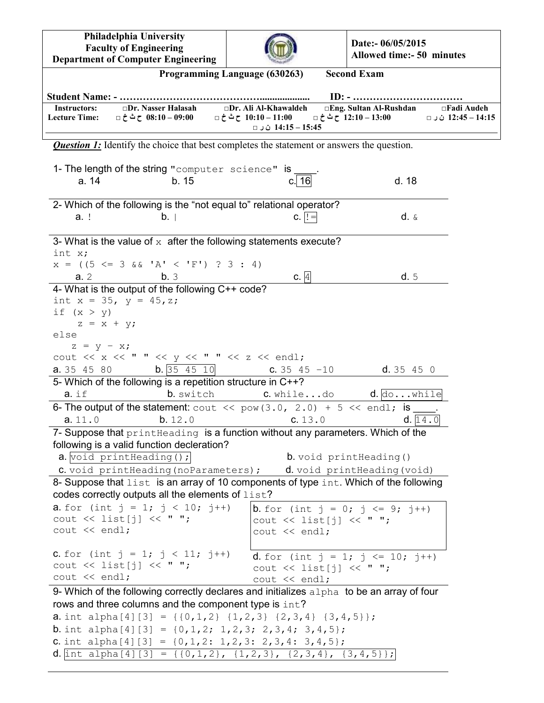**Philadelphia University Faculty of Engineering Department of Computer Engineering**



**Date:- 06/05/2015 Allowed time:- 50 minutes**

|                                             |                                                                                                                                                                                                                                                                                                                                                                                                                                                                                                                      | Programming Language (630263)                                       | <b>Second Exam</b>                                |                                            |
|---------------------------------------------|----------------------------------------------------------------------------------------------------------------------------------------------------------------------------------------------------------------------------------------------------------------------------------------------------------------------------------------------------------------------------------------------------------------------------------------------------------------------------------------------------------------------|---------------------------------------------------------------------|---------------------------------------------------|--------------------------------------------|
|                                             |                                                                                                                                                                                                                                                                                                                                                                                                                                                                                                                      |                                                                     |                                                   |                                            |
| <b>Instructors:</b><br><b>Lecture Time:</b> | $\square$ Dr. Nasser Halasah<br>08:10 − 09:00 ح ث خ □                                                                                                                                                                                                                                                                                                                                                                                                                                                                | □Dr. Ali Al-Khawaldeh<br>10:10 – 10:10 ح ث خ □<br>14:15 – 14:15 ن⊂⊡ | □Eng. Sultan Al-Rushdan<br>12:10 – 12:10 ح ث خ □  | $\square$ Fadi Audeh<br>14:15 – 12:45 ن⊂ □ |
|                                             | <b>Question 1:</b> Identify the choice that best completes the statement or answers the question.                                                                                                                                                                                                                                                                                                                                                                                                                    |                                                                     |                                                   |                                            |
|                                             | 1- The length of the string "computer science" is                                                                                                                                                                                                                                                                                                                                                                                                                                                                    |                                                                     |                                                   |                                            |
| a. 14                                       | b.15                                                                                                                                                                                                                                                                                                                                                                                                                                                                                                                 | c.l 16                                                              | d.18                                              |                                            |
| a. !                                        | 2- Which of the following is the "not equal to" relational operator?<br>b. I                                                                                                                                                                                                                                                                                                                                                                                                                                         | $C.$  ! =                                                           | $d. \&$                                           |                                            |
| int x;                                      | 3- What is the value of $x$ after the following statements execute?                                                                                                                                                                                                                                                                                                                                                                                                                                                  |                                                                     |                                                   |                                            |
| a.2                                         | $x = ((5 \le 3 \&& 'A' < 'F') ? 3 : 4)$<br>b.3                                                                                                                                                                                                                                                                                                                                                                                                                                                                       | c.4                                                                 | d.5                                               |                                            |
|                                             | 4- What is the output of the following C++ code?                                                                                                                                                                                                                                                                                                                                                                                                                                                                     |                                                                     |                                                   |                                            |
| if $(x > y)$                                | int $x = 35$ , $y = 45$ , z;                                                                                                                                                                                                                                                                                                                                                                                                                                                                                         |                                                                     |                                                   |                                            |
| $z = x + y;$<br>else                        |                                                                                                                                                                                                                                                                                                                                                                                                                                                                                                                      |                                                                     |                                                   |                                            |
| $z = y - x;$                                | cout $\langle \langle x \rangle \langle x \rangle \langle y \rangle$ = $\langle x \rangle$ = $\langle x \rangle$ = $\langle x \rangle$ = $\langle x \rangle$ = $\langle x \rangle$ = $\langle x \rangle$ = $\langle x \rangle$ = $\langle x \rangle$ = $\langle x \rangle$ = $\langle x \rangle$ = $\langle x \rangle$ = $\langle x \rangle$ = $\langle x \rangle$ = $\langle x \rangle$ = $\langle x \rangle$ = $\langle x \rangle$ = $\langle x \rangle$ = $\langle x \rangle$ = $\langle x \rangle$ = $\langle x$ |                                                                     |                                                   |                                            |
| a. 35 45 80                                 | $\mathbf{b}$ . 35 45 10                                                                                                                                                                                                                                                                                                                                                                                                                                                                                              | $C. 35 45 - 10$                                                     | d.35450                                           |                                            |
| $a.$ if                                     | 5- Which of the following is a repetition structure in C++?<br>b. switch                                                                                                                                                                                                                                                                                                                                                                                                                                             |                                                                     | <b>C.</b> whiledo $\theta$ . $\phi$ while         |                                            |
|                                             | 6- The output of the statement: cout $\ll$ pow (3.0, 2.0) + 5 $\ll$ endl; is ____                                                                                                                                                                                                                                                                                                                                                                                                                                    |                                                                     |                                                   |                                            |
| a.11.0                                      | b. 12.0                                                                                                                                                                                                                                                                                                                                                                                                                                                                                                              | C. 13.0                                                             |                                                   | d. 14.0                                    |
|                                             | 7- Suppose that print Heading is a function without any parameters. Which of the<br>following is a valid function decleration?                                                                                                                                                                                                                                                                                                                                                                                       |                                                                     |                                                   |                                            |
|                                             | a. void printHeading();                                                                                                                                                                                                                                                                                                                                                                                                                                                                                              |                                                                     | b. void printHeading ()                           |                                            |
|                                             | <b>C.</b> void print Heading (no Parameters); <b>d.</b> void print Heading (void)                                                                                                                                                                                                                                                                                                                                                                                                                                    |                                                                     |                                                   |                                            |
|                                             | 8- Suppose that list is an array of 10 components of type int. Which of the following                                                                                                                                                                                                                                                                                                                                                                                                                                |                                                                     |                                                   |                                            |
|                                             | codes correctly outputs all the elements of list?                                                                                                                                                                                                                                                                                                                                                                                                                                                                    |                                                                     |                                                   |                                            |
|                                             | <b>a.</b> for (int $j = 1$ ; $j < 10$ ; $j++)$                                                                                                                                                                                                                                                                                                                                                                                                                                                                       |                                                                     | <b>b</b> . for (int $j = 0$ ; $j \le 9$ ; $j++)$  |                                            |
|                                             | cout $\lt\lt$ list[j] $\lt\lt$ " ";                                                                                                                                                                                                                                                                                                                                                                                                                                                                                  |                                                                     | cout $\lt\lt$ list[j] $\lt\lt$ " ";               |                                            |
| $\text{cut} \ll \text{endl}$ ;              |                                                                                                                                                                                                                                                                                                                                                                                                                                                                                                                      | $\text{cut} \ll \text{end}$ ;                                       |                                                   |                                            |
|                                             | <b>C.</b> for (int $j = 1$ ; $j < 11$ ; $j++)$                                                                                                                                                                                                                                                                                                                                                                                                                                                                       |                                                                     | <b>d</b> . for (int $j = 1$ ; $j \le 10$ ; $j++)$ |                                            |
|                                             | cout $\lt\lt$ list[j] $\lt\lt$ " ";                                                                                                                                                                                                                                                                                                                                                                                                                                                                                  |                                                                     | cout $\lt\lt$ list[j] $\lt\lt$ " ";               |                                            |
| cout << endl;                               |                                                                                                                                                                                                                                                                                                                                                                                                                                                                                                                      | $\text{cut} \ll \text{endl}$ ;                                      |                                                   |                                            |
|                                             | 9- Which of the following correctly declares and initializes $\alpha$ lpha to be an array of four                                                                                                                                                                                                                                                                                                                                                                                                                    |                                                                     |                                                   |                                            |
|                                             | rows and three columns and the component type is int?                                                                                                                                                                                                                                                                                                                                                                                                                                                                |                                                                     |                                                   |                                            |
|                                             | <b>a.</b> int alpha[4][3] = {{0,1,2} {1,2,3} {2,3,4} {3,4,5}};<br><b>b</b> . int alpha[4][3] = $\{0, 1, 2; 1, 2, 3; 2, 3, 4; 3, 4, 5\};$                                                                                                                                                                                                                                                                                                                                                                             |                                                                     |                                                   |                                            |
|                                             | <b>C.</b> int alpha[4][3] = $\{0, 1, 2: 1, 2, 3: 2, 3, 4: 3, 4, 5\}$ ;                                                                                                                                                                                                                                                                                                                                                                                                                                               |                                                                     |                                                   |                                            |
|                                             | <b>d</b> . int alpha[4][3] = {{0,1,2}, {1,2,3}, {2,3,4}, {3,4,5}};                                                                                                                                                                                                                                                                                                                                                                                                                                                   |                                                                     |                                                   |                                            |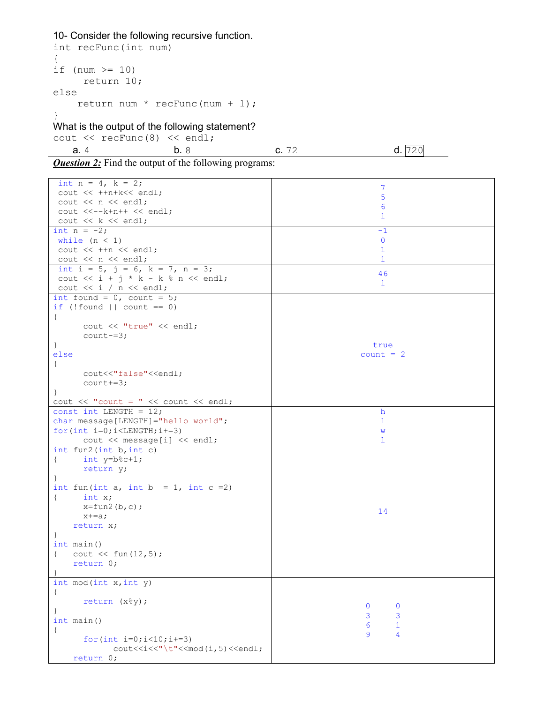## 10- Consider the following recursive function.

```
int recFunc(int num) 
{ 
if (num >= 10)
      return 10; 
else 
     return num * recFunc(num + 1); 
} 
What is the output of the following statement? 
cout \lt\lt recFunc(8) \lt\lt endl;
```
**a**. 4 **b.** 8 **c.** 72 **d.** 720

**Question 2:** Find the output of the following programs:

| int $n = 4$ , $k = 2$ ;                                                        | 7                             |
|--------------------------------------------------------------------------------|-------------------------------|
| cout << ++n+k<< endl;                                                          | 5                             |
| cout $\lt\lt$ n $\lt\lt$ endl;                                                 | 6                             |
| $\cot x < -k+n++ << \text{end}$ ;                                              | $\mathbf{1}$                  |
| cout $<< k <<$ endl;                                                           |                               |
| int $n = -2;$                                                                  | -1                            |
| while $(n < 1)$                                                                | 0                             |
| cout $<< +fn << end1;$                                                         | $\mathbf{1}$                  |
| cout $<< n <<$ endl;                                                           | $\mathbf{1}$                  |
| int i = 5, j = 6, k = 7, n = 3;                                                |                               |
| cout $\langle \cdot \rangle$ i + j * k - k % n $\langle \cdot \rangle$ endl;   | 46                            |
| cout $\lt\lt i$ / n $\lt\lt$ endl;                                             | $\mathbf{1}$                  |
| int found = $0$ , count = $5$ ;                                                |                               |
| if $(!found    count == 0)$                                                    |                               |
| $\{$                                                                           |                               |
| cout << "true" << endl;                                                        |                               |
| $count==3;$                                                                    |                               |
| $\cdot$                                                                        | true                          |
| else                                                                           | $count = 2$                   |
| $\{$                                                                           |                               |
| cout<<"false"< <endl;< td=""><td></td></endl;<>                                |                               |
| $count+=3;$                                                                    |                               |
| $\mathcal{F}$                                                                  |                               |
| cout $\langle\langle$ "count = " $\langle\langle$ count $\langle\langle$ endl; |                               |
| const int LENGTH = $12$ ;                                                      | h                             |
| char message [LENGTH] = "hello world";                                         | ı                             |
| for $(int i=0; i$                                                              | W                             |
| cout << message[i] << endl;                                                    | 1                             |
| int fun2 $(int b, int c)$                                                      |                               |
| int y=b%c+1;<br>$\{$                                                           |                               |
| return y;                                                                      |                               |
|                                                                                |                               |
| int fun(int a, int b = 1, int c = 2)                                           |                               |
| $\left\{ \quad \right.$<br>int x;                                              |                               |
| $x=fun2(b,c);$                                                                 |                               |
| $x+=a;$                                                                        | 14                            |
| return x;                                                                      |                               |
|                                                                                |                               |
| int main()                                                                     |                               |
| $\text{cut} \ll \text{fun}(12,5)$ ;<br>$\left\{$                               |                               |
| return 0;                                                                      |                               |
| $\cdot$                                                                        |                               |
| int $mod(int x, int y)$                                                        |                               |
| $\{$                                                                           |                               |
| return (x%y);                                                                  |                               |
| $\mathbf{r}$                                                                   | $\overline{0}$<br>$\mathbf 0$ |
| int main()                                                                     | 3<br>3                        |
| $\{$                                                                           | 6<br>$\mathbf 1$              |
| for $(int i=0; i<10; i+=3)$                                                    | 9<br>$\overline{4}$           |
| $\text{count} \leq i \leq \text{"t"} \leq \text{mod}(i, 5) \leq \text{end}$ ;  |                               |
| return 0;                                                                      |                               |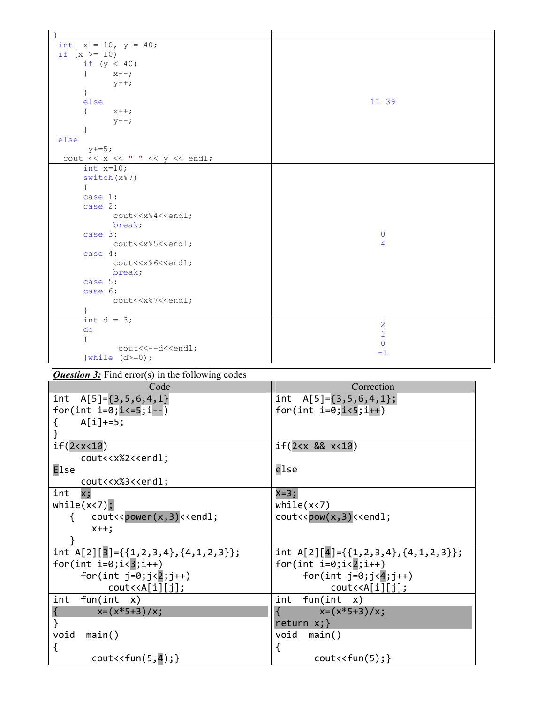| int $x = 10$ , $y = 40$ ;                                                                                                                                                                                                                                                                                                                                                                                                                                                                                         |                |
|-------------------------------------------------------------------------------------------------------------------------------------------------------------------------------------------------------------------------------------------------------------------------------------------------------------------------------------------------------------------------------------------------------------------------------------------------------------------------------------------------------------------|----------------|
| if $(x > = 10)$                                                                                                                                                                                                                                                                                                                                                                                                                                                                                                   |                |
| if $(y < 40)$                                                                                                                                                                                                                                                                                                                                                                                                                                                                                                     |                |
| $x--;$                                                                                                                                                                                                                                                                                                                                                                                                                                                                                                            |                |
| $y++$ ;                                                                                                                                                                                                                                                                                                                                                                                                                                                                                                           |                |
| $\}$                                                                                                                                                                                                                                                                                                                                                                                                                                                                                                              |                |
| else                                                                                                                                                                                                                                                                                                                                                                                                                                                                                                              | 11 39          |
| $x++;$                                                                                                                                                                                                                                                                                                                                                                                                                                                                                                            |                |
| $y--$ ;                                                                                                                                                                                                                                                                                                                                                                                                                                                                                                           |                |
|                                                                                                                                                                                                                                                                                                                                                                                                                                                                                                                   |                |
| else                                                                                                                                                                                                                                                                                                                                                                                                                                                                                                              |                |
| $y+=5;$                                                                                                                                                                                                                                                                                                                                                                                                                                                                                                           |                |
| cout $\langle\langle x \rangle \langle x \rangle \rangle$ = $\langle x \rangle$ / $\langle x \rangle$ / $\langle x \rangle$ / $\langle x \rangle$ / $\langle x \rangle$ / $\langle x \rangle$ / $\langle x \rangle$ / $\langle x \rangle$ / $\langle x \rangle$ / $\langle x \rangle$ / $\langle x \rangle$ / $\langle x \rangle$ / $\langle x \rangle$ / $\langle x \rangle$ / $\langle x \rangle$ / $\langle x \rangle$ / $\langle x \rangle$ / $\langle x \rangle$ / $\langle x \rangle$ / $\langle x \rangle$ |                |
| int $x=10$ ;                                                                                                                                                                                                                                                                                                                                                                                                                                                                                                      |                |
| switch (x%7)                                                                                                                                                                                                                                                                                                                                                                                                                                                                                                      |                |
|                                                                                                                                                                                                                                                                                                                                                                                                                                                                                                                   |                |
| case 1:                                                                                                                                                                                                                                                                                                                                                                                                                                                                                                           |                |
| case 2:                                                                                                                                                                                                                                                                                                                                                                                                                                                                                                           |                |
| cout< <x%4<<endl;< th=""><th></th></x%4<<endl;<>                                                                                                                                                                                                                                                                                                                                                                                                                                                                  |                |
| break;                                                                                                                                                                                                                                                                                                                                                                                                                                                                                                            |                |
| case 3:                                                                                                                                                                                                                                                                                                                                                                                                                                                                                                           | $\mathbf{0}$   |
| cout< <x%5<<endl;< th=""><th>4</th></x%5<<endl;<>                                                                                                                                                                                                                                                                                                                                                                                                                                                                 | 4              |
| case $4:$                                                                                                                                                                                                                                                                                                                                                                                                                                                                                                         |                |
| cout< <x%6<<endl;< th=""><th></th></x%6<<endl;<>                                                                                                                                                                                                                                                                                                                                                                                                                                                                  |                |
| break;                                                                                                                                                                                                                                                                                                                                                                                                                                                                                                            |                |
| case 5:                                                                                                                                                                                                                                                                                                                                                                                                                                                                                                           |                |
| case 6:                                                                                                                                                                                                                                                                                                                                                                                                                                                                                                           |                |
| cout< <x%7<<endl;< th=""><th></th></x%7<<endl;<>                                                                                                                                                                                                                                                                                                                                                                                                                                                                  |                |
|                                                                                                                                                                                                                                                                                                                                                                                                                                                                                                                   |                |
| int $d = 3$ ;                                                                                                                                                                                                                                                                                                                                                                                                                                                                                                     | $\overline{2}$ |
| do                                                                                                                                                                                                                                                                                                                                                                                                                                                                                                                | $\mathbf{1}$   |
|                                                                                                                                                                                                                                                                                                                                                                                                                                                                                                                   | $\mathbf{0}$   |
| cout<<--d< <endl;< th=""><th>-1</th></endl;<>                                                                                                                                                                                                                                                                                                                                                                                                                                                                     | -1             |
| } while $(d>=0)$ ;                                                                                                                                                                                                                                                                                                                                                                                                                                                                                                |                |

**Question 3:** Find error(s) in the following codes

| Code                                                                                                                                                                                             | Correction                                                                                         |
|--------------------------------------------------------------------------------------------------------------------------------------------------------------------------------------------------|----------------------------------------------------------------------------------------------------|
| int $A[5] = \{3, 5, 6, 4, 1\}$                                                                                                                                                                   | int $A[5] = \{3, 5, 6, 4, 1\};$                                                                    |
| for(int $i=0; i<=5; i--)$                                                                                                                                                                        | for(int $i=0; i<5; i++)$                                                                           |
| $A[i] += 5;$                                                                                                                                                                                     |                                                                                                    |
|                                                                                                                                                                                                  |                                                                                                    |
| if(2 < x < 10)                                                                                                                                                                                   | if(2 < x 88 x < 10)                                                                                |
| cout< <x%2<<endl;< td=""><td></td></x%2<<endl;<>                                                                                                                                                 |                                                                                                    |
| <b>Else</b>                                                                                                                                                                                      | else                                                                                               |
| cout< <x%3<<endl;< td=""><td></td></x%3<<endl;<>                                                                                                                                                 |                                                                                                    |
| int<br>x;                                                                                                                                                                                        | $X=3;$                                                                                             |
| while(x < 7);                                                                                                                                                                                    | while(x < 7)                                                                                       |
| cout< <power(x,3)<<endl;< td=""><td><math>\text{cout} \left( \text{c} \right)</math> cout<math>\left( \text{c} \right)</math> and <math>\left( \text{c} \right)</math></td></power(x,3)<<endl;<> | $\text{cout} \left( \text{c} \right)$ cout $\left( \text{c} \right)$ and $\left( \text{c} \right)$ |
| $x++$                                                                                                                                                                                            |                                                                                                    |
|                                                                                                                                                                                                  |                                                                                                    |
| int A[2][3]={{1,2,3,4},{4,1,2,3}};                                                                                                                                                               | int $A[2][4] = \{\{1, 2, 3, 4\}, \{4, 1, 2, 3\}\};$                                                |
| for(int $i=0; i5; i++)$                                                                                                                                                                          | for(int $i=0; i<2; i++)$                                                                           |
| for(int $j=0; j<2; j++)$                                                                                                                                                                         | for(int $j=0; j<4; j++)$                                                                           |
| $\text{cout} \triangle \text{A[i][j]};$                                                                                                                                                          | $\text{cout} \triangle \text{A[i][j]};$                                                            |
| fun(int x)<br>int                                                                                                                                                                                | fun(int x)<br>int                                                                                  |
| $x=(x*5+3)/x;$                                                                                                                                                                                   | $x=(x*5+3)/x;$                                                                                     |
|                                                                                                                                                                                                  | return $x;$ }                                                                                      |
| void<br>main()                                                                                                                                                                                   | $void main()$                                                                                      |
| {                                                                                                                                                                                                | ₹                                                                                                  |
| $\text{cout} \left\langle \text{cfun}(5,4); \right\rangle$                                                                                                                                       | $\text{cout} \lt \lt \text{fun}(5);$                                                               |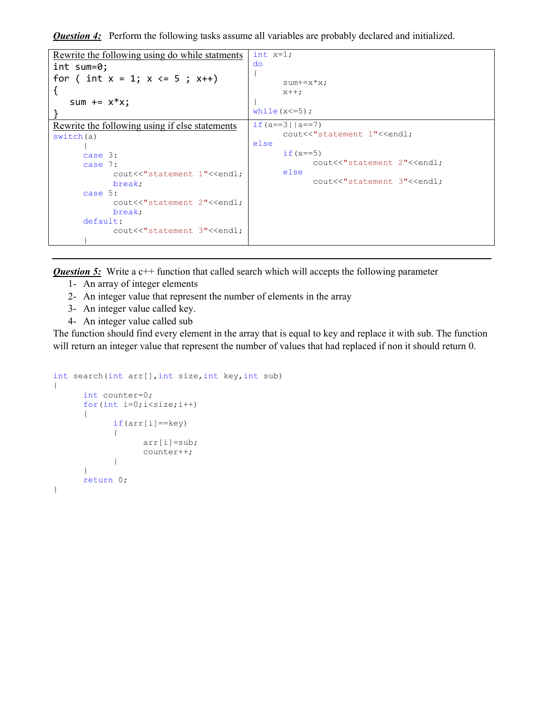**Question 4:** Perform the following tasks assume all variables are probably declared and initialized.

```
Rewrite the following using do while statments
int sum=0; 
for ( int x = 1; x \le 5; x++)
{ 
   sum += x^*x;} 
                                             int x=1; 
                                             do 
                                             { 
                                                     sum+=x*x; 
                                                     x++; 
                                             } 
                                             while(x \leq 5);
Rewrite the following using if else statements
switch(a) 
       { 
      case 3: 
      case 7: 
             cout<<"statement 1"<<endl;
              break; 
      case 5: 
             cout<<"statement 2"<<endl;
              break; 
      default: 
             cout<<"statement 3"<<endl;
       }
                                             if(a==3|a==7|)
                                                    cout<<"statement 1"<<endl;
                                             else 
                                                    if (x == 5)cout<<"statement 2"<<endl;
                                                    else 
                                                           cout<<"statement 3"<<endl;
```
**Question 5:** Write a c++ function that called search which will accepts the following parameter

- 1- An array of integer elements
- 2- An integer value that represent the number of elements in the array
- 3- An integer value called key.
- 4- An integer value called sub

The function should find every element in the array that is equal to key and replace it with sub. The function will return an integer value that represent the number of values that had replaced if non it should return 0.

```
int search(int arr[],int size,int key,int sub) 
{ 
     int counter=0; 
     for(int i=0; i < size; i++)
       { 
            if(arr[i]==key) 
\{ arr[i]=sub; 
                  counter++; 
 } 
 } 
     return 0; 
}
```